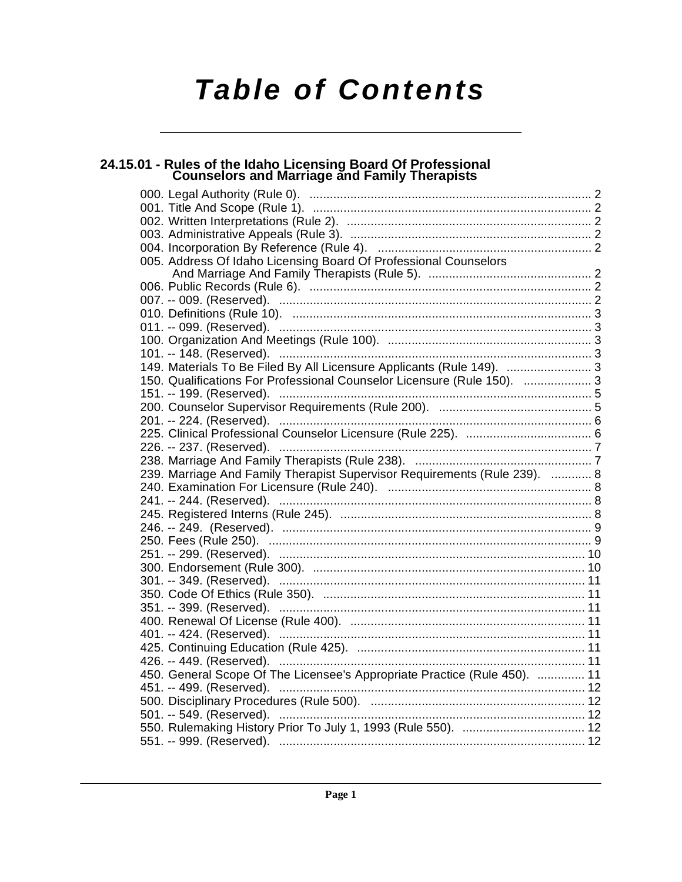# **Table of Contents**

# 24.15.01 - Rules of the Idaho Licensing Board Of Professional<br>Counselors and Marriage and Family Therapists

| 005. Address Of Idaho Licensing Board Of Professional Counselors          |
|---------------------------------------------------------------------------|
|                                                                           |
|                                                                           |
|                                                                           |
|                                                                           |
|                                                                           |
|                                                                           |
|                                                                           |
| 149. Materials To Be Filed By All Licensure Applicants (Rule 149).  3     |
| 150. Qualifications For Professional Counselor Licensure (Rule 150).  3   |
|                                                                           |
|                                                                           |
|                                                                           |
|                                                                           |
|                                                                           |
|                                                                           |
| 239. Marriage And Family Therapist Supervisor Requirements (Rule 239).  8 |
|                                                                           |
|                                                                           |
|                                                                           |
|                                                                           |
|                                                                           |
|                                                                           |
|                                                                           |
|                                                                           |
|                                                                           |
| 351. -- 399. (Reserved). …………………………………………………………………………… 11                 |
|                                                                           |
|                                                                           |
|                                                                           |
|                                                                           |
| 450. General Scope Of The Licensee's Appropriate Practice (Rule 450).  11 |
|                                                                           |
|                                                                           |
|                                                                           |
|                                                                           |
|                                                                           |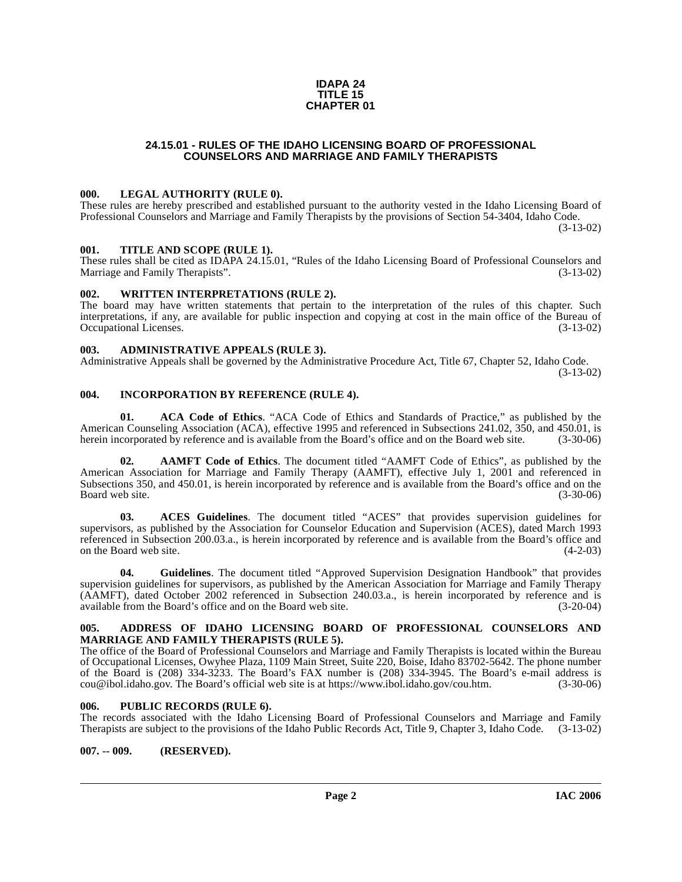#### **IDAPA 24 TITLE 15 CHAPTER 01**

# **24.15.01 - RULES OF THE IDAHO LICENSING BOARD OF PROFESSIONAL COUNSELORS AND MARRIAGE AND FAMILY THERAPISTS**

#### <span id="page-1-1"></span><span id="page-1-0"></span>**000. LEGAL AUTHORITY (RULE 0).**

These rules are hereby prescribed and established pursuant to the authority vested in the Idaho Licensing Board of Professional Counselors and Marriage and Family Therapists by the provisions of Section 54-3404, Idaho Code. (3-13-02)

#### <span id="page-1-2"></span>**001. TITLE AND SCOPE (RULE 1).**

These rules shall be cited as IDAPA 24.15.01, "Rules of the Idaho Licensing Board of Professional Counselors and Marriage and Family Therapists". (3-13-02)

#### <span id="page-1-3"></span>**002. WRITTEN INTERPRETATIONS (RULE 2).**

The board may have written statements that pertain to the interpretation of the rules of this chapter. Such interpretations, if any, are available for public inspection and copying at cost in the main office of the Bureau of Occupational Licenses. (3-13-02)

# <span id="page-1-4"></span>**003. ADMINISTRATIVE APPEALS (RULE 3).**

Administrative Appeals shall be governed by the Administrative Procedure Act, Title 67, Chapter 52, Idaho Code.

(3-13-02)

# <span id="page-1-5"></span>**004. INCORPORATION BY REFERENCE (RULE 4).**

**01. ACA Code of Ethics**. "ACA Code of Ethics and Standards of Practice," as published by the American Counseling Association (ACA), effective 1995 and referenced in Subsections 241.02, 350, and 450.01, is herein incorporated by reference and is available from the Board's office and on the Board web site. (3-30-06)

**02. AAMFT Code of Ethics**. The document titled "AAMFT Code of Ethics", as published by the American Association for Marriage and Family Therapy (AAMFT), effective July 1, 2001 and referenced in Subsections 350, and 450.01, is herein incorporated by reference and is available from the Board's office and on the Board web site. (3-30-06) Board web site.

**03. ACES Guidelines**. The document titled "ACES" that provides supervision guidelines for supervisors, as published by the Association for Counselor Education and Supervision (ACES), dated March 1993 referenced in Subsection 200.03.a., is herein incorporated by reference and is available from the Board's office and<br>on the Board web site. (4-2-03) on the Board web site.

**04. Guidelines**. The document titled "Approved Supervision Designation Handbook" that provides supervision guidelines for supervisors, as published by the American Association for Marriage and Family Therapy (AAMFT), dated October 2002 referenced in Subsection 240.03.a., is herein incorporated by reference and is available from the Board's office and on the Board web site. (3-20-04) available from the Board's office and on the Board web site.

#### <span id="page-1-6"></span>**005. ADDRESS OF IDAHO LICENSING BOARD OF PROFESSIONAL COUNSELORS AND MARRIAGE AND FAMILY THERAPISTS (RULE 5).**

[The office of the Board of Professional Counselors and Marriage and Family Therapists is located within the Bureau](mailto:cou@ibol.idaho.gov) of Occupational Licenses, Owyhee Plaza, 1109 Main Street, Suite 220, Boise, Idaho 83702-5642. The phone number of the Board is (208) 334-3233. The Board's FAX number is (208) 334-3945. The Board's e-mail address is cou@ibol.idaho.gov. The Board's official web site is at https://www.ibol.idaho.gov/cou.htm. (3-30-06) cou@ibol.idaho.gov. The Board's official web site is at https://www.ibol.idaho.gov/cou.htm.

#### <span id="page-1-7"></span>**006. PUBLIC RECORDS (RULE 6).**

The records associated with the Idaho Licensing Board of Professional Counselors and Marriage and Family Therapists are subject to the provisions of the Idaho Public Records Act, Title 9, Chapter 3, Idaho Code. (3-13-02)

#### <span id="page-1-8"></span>**007. -- 009. (RESERVED).**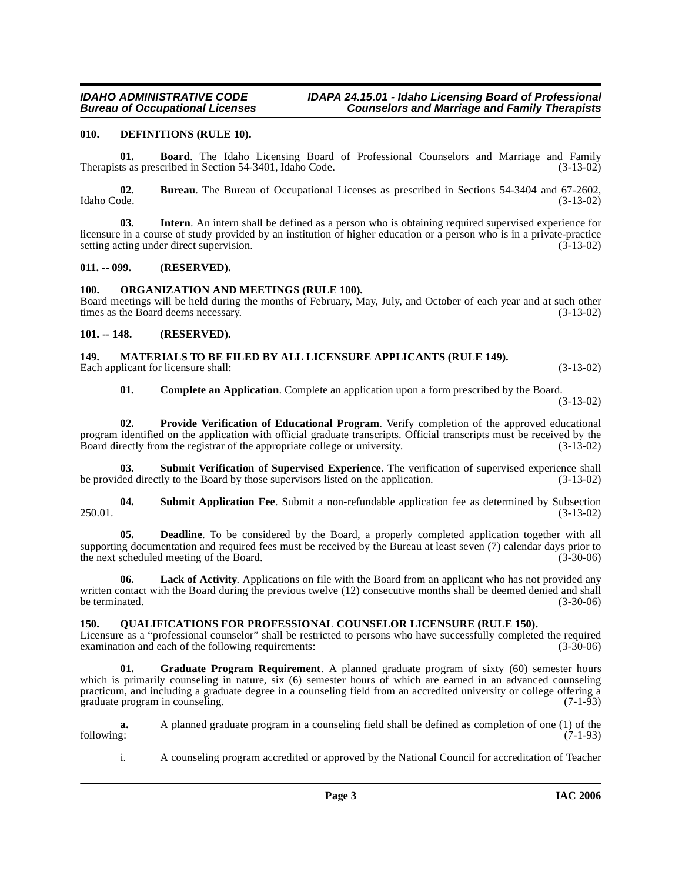### <span id="page-2-7"></span><span id="page-2-0"></span>**010. DEFINITIONS (RULE 10).**

**01. Board**. The Idaho Licensing Board of Professional Counselors and Marriage and Family ts as prescribed in Section 54-3401. Idaho Code. (3-13-02) Therapists as prescribed in Section 54-3401, Idaho Code.

**02.** Bureau. The Bureau of Occupational Licenses as prescribed in Sections 54-3404 and 67-2602, Idaho Code. (3-13-02) Idaho Code. (3-13-02)

**03. Intern**. An intern shall be defined as a person who is obtaining required supervised experience for licensure in a course of study provided by an institution of higher education or a person who is in a private-practice setting acting under direct supervision. (3-13-02) setting acting under direct supervision.

#### <span id="page-2-1"></span>**011. -- 099. (RESERVED).**

# <span id="page-2-11"></span><span id="page-2-2"></span>**100. ORGANIZATION AND MEETINGS (RULE 100).**

Board meetings will be held during the months of February, May, July, and October of each year and at such other times as the Board deems necessary. (3-13-02) times as the Board deems necessary.

# <span id="page-2-3"></span>**101. -- 148. (RESERVED).**

#### <span id="page-2-10"></span><span id="page-2-4"></span>**149. MATERIALS TO BE FILED BY ALL LICENSURE APPLICANTS (RULE 149).** Each applicant for licensure shall: (3-13-02)

<span id="page-2-15"></span><span id="page-2-12"></span>**01. Complete an Application**. Complete an application upon a form prescribed by the Board.

(3-13-02)

**02. Provide Verification of Educational Program**. Verify completion of the approved educational program identified on the application with official graduate transcripts. Official transcripts must be received by the Board directly from the registrar of the appropriate college or university. (3-13-02)

**03. Submit Verification of Supervised Experience**. The verification of supervised experience shall be provided directly to the Board by those supervisors listed on the application. (3-13-02)

<span id="page-2-14"></span>**04.** Submit Application Fee. Submit a non-refundable application fee as determined by Subsection (3-13-02) 250.01. (3-13-02)

<span id="page-2-6"></span>**Deadline**. To be considered by the Board, a properly completed application together with all supporting documentation and required fees must be received by the Bureau at least seven (7) calendar days prior to the next scheduled meeting of the Board. (3-30-06) (3-30-06)

<span id="page-2-9"></span>**06. Lack of Activity**. Applications on file with the Board from an applicant who has not provided any written contact with the Board during the previous twelve (12) consecutive months shall be deemed denied and shall be terminated. (3-30-06)

# <span id="page-2-13"></span><span id="page-2-5"></span>**150. QUALIFICATIONS FOR PROFESSIONAL COUNSELOR LICENSURE (RULE 150).**

Licensure as a "professional counselor" shall be restricted to persons who have successfully completed the required examination and each of the following requirements: (3-30-06)

<span id="page-2-8"></span>**01. Graduate Program Requirement**. A planned graduate program of sixty (60) semester hours which is primarily counseling in nature, six (6) semester hours of which are earned in an advanced counseling practicum, and including a graduate degree in a counseling field from an accredited university or college offering a graduate program in counseling. (7-1-93)

**a.** A planned graduate program in a counseling field shall be defined as completion of one (1) of the following: (7-1-93) following: (7-1-93)

i. A counseling program accredited or approved by the National Council for accreditation of Teacher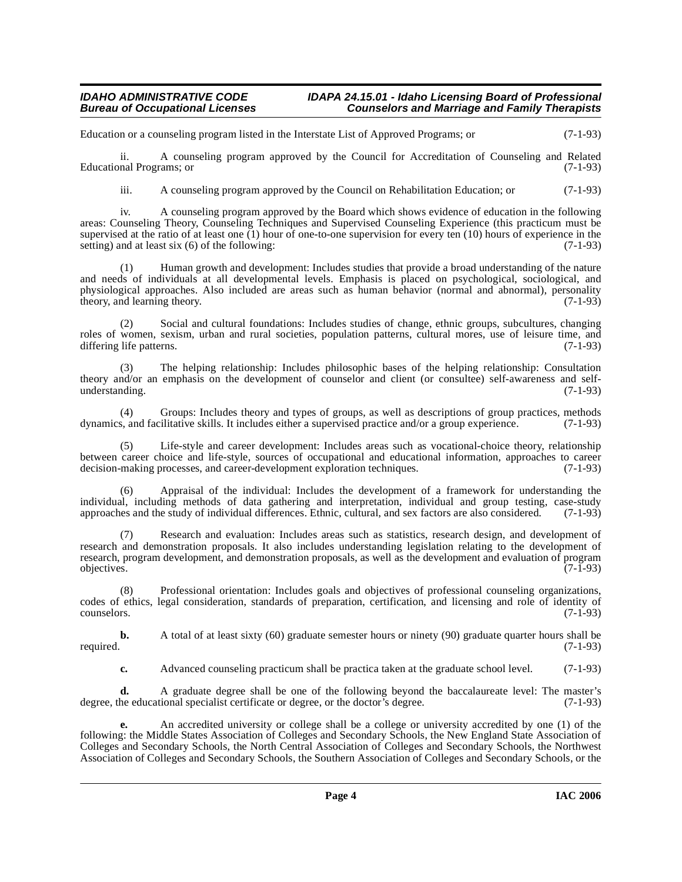Education or a counseling program listed in the Interstate List of Approved Programs; or (7-1-93)

ii. A counseling program approved by the Council for Accreditation of Counseling and Related Educational Programs; or

iii. A counseling program approved by the Council on Rehabilitation Education; or (7-1-93)

iv. A counseling program approved by the Board which shows evidence of education in the following areas: Counseling Theory, Counseling Techniques and Supervised Counseling Experience (this practicum must be supervised at the ratio of at least one (1) hour of one-to-one supervision for every ten (10) hours of experience in the setting) and at least six (6) of the following:  $(7-1-93)$ setting) and at least six  $(6)$  of the following:

(1) Human growth and development: Includes studies that provide a broad understanding of the nature and needs of individuals at all developmental levels. Emphasis is placed on psychological, sociological, and physiological approaches. Also included are areas such as human behavior (normal and abnormal), personality theory, and learning theory. (7-1-93) theory, and learning theory.

(2) Social and cultural foundations: Includes studies of change, ethnic groups, subcultures, changing roles of women, sexism, urban and rural societies, population patterns, cultural mores, use of leisure time, and differing life patterns. (7-1-93) differing life patterns.

(3) The helping relationship: Includes philosophic bases of the helping relationship: Consultation theory and/or an emphasis on the development of counselor and client (or consultee) self-awareness and selfunderstanding. (7-1-93)

(4) Groups: Includes theory and types of groups, as well as descriptions of group practices, methods s, and facilitative skills. It includes either a supervised practice and/or a group experience. (7-1-93) dynamics, and facilitative skills. It includes either a supervised practice and/or a group experience.

Life-style and career development: Includes areas such as vocational-choice theory, relationship between career choice and life-style, sources of occupational and educational information, approaches to career decision-making processes, and career-development exploration techniques. (7-1-93) decision-making processes, and career-development exploration techniques.

(6) Appraisal of the individual: Includes the development of a framework for understanding the individual, including methods of data gathering and interpretation, individual and group testing, case-study approaches and the study of individual differences. Ethnic, cultural, and sex factors are also considered. (7-1-9 approaches and the study of individual differences. Ethnic, cultural, and sex factors are also considered.

Research and evaluation: Includes areas such as statistics, research design, and development of research and demonstration proposals. It also includes understanding legislation relating to the development of research, program development, and demonstration proposals, as well as the development and evaluation of program objectives. (7-1-93) objectives. (7-1-93)

(8) Professional orientation: Includes goals and objectives of professional counseling organizations, codes of ethics, legal consideration, standards of preparation, certification, and licensing and role of identity of counselors. (7-1-93)

**b.** A total of at least sixty (60) graduate semester hours or ninety (90) graduate quarter hours shall be required. (7-1-93)

**c.** Advanced counseling practicum shall be practica taken at the graduate school level. (7-1-93)

**d.** A graduate degree shall be one of the following beyond the baccalaureate level: The master's degree, the educational specialist certificate or degree, or the doctor's degree. (7-1-93)

**e.** An accredited university or college shall be a college or university accredited by one (1) of the following: the Middle States Association of Colleges and Secondary Schools, the New England State Association of Colleges and Secondary Schools, the North Central Association of Colleges and Secondary Schools, the Northwest Association of Colleges and Secondary Schools, the Southern Association of Colleges and Secondary Schools, or the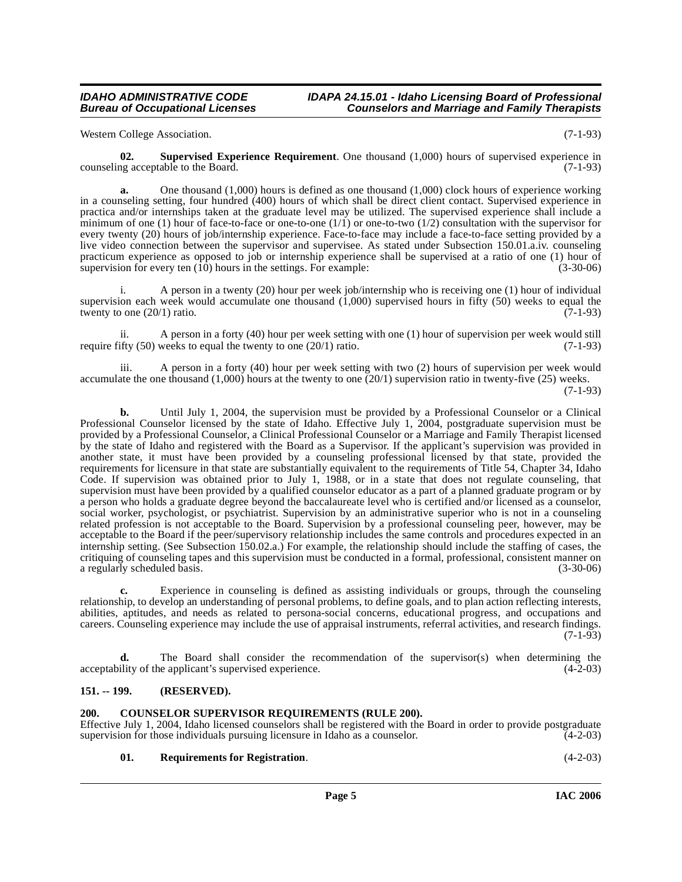**IDAHO ADMINISTRATIVE CODE IDAPA 24.15.01 - Idaho Licensing Board of Professional<br>Bureau of Occupational Licenses Counselors and Marriage and Family Therapists Counselors and Marriage and Family Therapists** 

Western College Association. (7-1-93)

<span id="page-4-4"></span>**02. Supervised Experience Requirement**. One thousand (1,000) hours of supervised experience in counseling acceptable to the Board. (7-1-93)

**a.** One thousand (1,000) hours is defined as one thousand (1,000) clock hours of experience working in a counseling setting, four hundred (400) hours of which shall be direct client contact. Supervised experience in practica and/or internships taken at the graduate level may be utilized. The supervised experience shall include a minimum of one (1) hour of face-to-face or one-to-one  $(1/1)$  or one-to-two  $(1/2)$  consultation with the supervisor for every twenty (20) hours of job/internship experience. Face-to-face may include a face-to-face setting provided by a live video connection between the supervisor and supervisee. As stated under Subsection 150.01.a.iv. counseling practicum experience as opposed to job or internship experience shall be supervised at a ratio of one (1) hour of supervision for every ten (10) hours in the settings. For example: (3-30-06) supervision for every ten  $(10)$  hours in the settings. For example:

i. A person in a twenty (20) hour per week job/internship who is receiving one (1) hour of individual supervision each week would accumulate one thousand  $(1,000)$  supervised hours in fifty  $(50)$  weeks to equal the twenty to one  $(20/1)$  ratio. twenty to one  $(20/1)$  ratio.

ii. A person in a forty (40) hour per week setting with one (1) hour of supervision per week would still require fifty  $(50)$  weeks to equal the twenty to one  $(20/1)$  ratio. (7-1-93)

iii. A person in a forty (40) hour per week setting with two (2) hours of supervision per week would accumulate the one thousand  $(1,000)$  hours at the twenty to one  $(20/1)$  supervision ratio in twenty-five  $(25)$  weeks.

(7-1-93)

**b.** Until July 1, 2004, the supervision must be provided by a Professional Counselor or a Clinical Professional Counselor licensed by the state of Idaho. Effective July 1, 2004, postgraduate supervision must be provided by a Professional Counselor, a Clinical Professional Counselor or a Marriage and Family Therapist licensed by the state of Idaho and registered with the Board as a Supervisor. If the applicant's supervision was provided in another state, it must have been provided by a counseling professional licensed by that state, provided the requirements for licensure in that state are substantially equivalent to the requirements of Title 54, Chapter 34, Idaho Code. If supervision was obtained prior to July 1, 1988, or in a state that does not regulate counseling, that supervision must have been provided by a qualified counselor educator as a part of a planned graduate program or by a person who holds a graduate degree beyond the baccalaureate level who is certified and/or licensed as a counselor, social worker, psychologist, or psychiatrist. Supervision by an administrative superior who is not in a counseling related profession is not acceptable to the Board. Supervision by a professional counseling peer, however, may be acceptable to the Board if the peer/supervisory relationship includes the same controls and procedures expected in an internship setting. (See Subsection 150.02.a.) For example, the relationship should include the staffing of cases, the critiquing of counseling tapes and this supervision must be conducted in a formal, professional, consistent manner on a regularly scheduled basis.

**c.** Experience in counseling is defined as assisting individuals or groups, through the counseling relationship, to develop an understanding of personal problems, to define goals, and to plan action reflecting interests, abilities, aptitudes, and needs as related to persona-social concerns, educational progress, and occupations and careers. Counseling experience may include the use of appraisal instruments, referral activities, and research findings.  $(7-1-93)$ 

**d.** The Board shall consider the recommendation of the supervisor(s) when determining the acceptability of the applicant's supervised experience. (4-2-03)

# <span id="page-4-0"></span>**151. -- 199. (RESERVED).**

#### <span id="page-4-2"></span><span id="page-4-1"></span>**200. COUNSELOR SUPERVISOR REQUIREMENTS (RULE 200).**

Effective July 1, 2004, Idaho licensed counselors shall be registered with the Board in order to provide postgraduate supervision for those individuals pursuing licensure in Idaho as a counselor.

<span id="page-4-3"></span>**01. Requirements for Registration**. (4-2-03)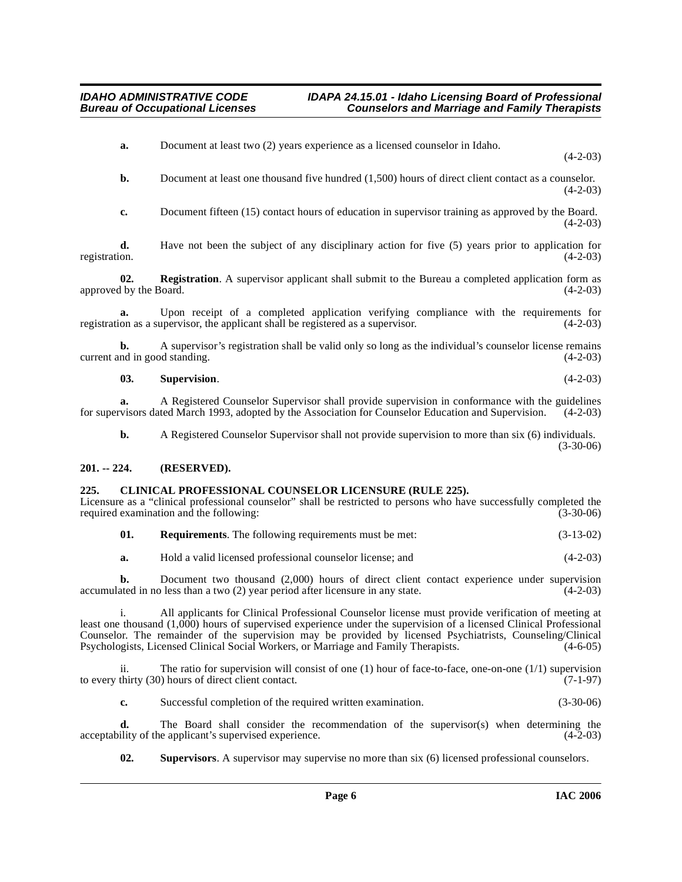**a.** Document at least two (2) years experience as a licensed counselor in Idaho.

 $(4-2-03)$ 

**b.** Document at least one thousand five hundred (1,500) hours of direct client contact as a counselor.  $(4-2-03)$ 

**c.** Document fifteen (15) contact hours of education in supervisor training as approved by the Board.  $(4-2-03)$ 

**d.** Have not been the subject of any disciplinary action for five (5) years prior to application for registration.  $(4-2-03)$ registration. (4-2-03)

**02. Registration**. A supervisor applicant shall submit to the Bureau a completed application form as approved by the Board. (4-2-03)

**a.** Upon receipt of a completed application verifying compliance with the requirements for on as a supervisor, the applicant shall be registered as a supervisor.  $(4-2-03)$ registration as a supervisor, the applicant shall be registered as a supervisor.

**b.** A supervisor's registration shall be valid only so long as the individual's counselor license remains nd in good standing. (4-2-03) current and in good standing.

**03. Supervision**. (4-2-03)

**a.** A Registered Counselor Supervisor shall provide supervision in conformance with the guidelines visors dated March 1993, adopted by the Association for Counselor Education and Supervision. (4-2-03) for supervisors dated March 1993, adopted by the Association for Counselor Education and Supervision.

**b.** A Registered Counselor Supervisor shall not provide supervision to more than six (6) individuals.

(3-30-06)

# <span id="page-5-0"></span>**201. -- 224. (RESERVED).**

#### <span id="page-5-2"></span><span id="page-5-1"></span>**225. CLINICAL PROFESSIONAL COUNSELOR LICENSURE (RULE 225).**

Licensure as a "clinical professional counselor" shall be restricted to persons who have successfully completed the required examination and the following: (3-30-06) required examination and the following:

**01. Requirements**. The following requirements must be met: (3-13-02)

**a.** Hold a valid licensed professional counselor license; and (4-2-03)

**b.** Document two thousand (2,000) hours of direct client contact experience under supervision ated in no less than a two (2) year period after licensure in any state. (4-2-03) accumulated in no less than a two  $(2)$  year period after licensure in any state.

i. All applicants for Clinical Professional Counselor license must provide verification of meeting at least one thousand (1,000) hours of supervised experience under the supervision of a licensed Clinical Professional Counselor. The remainder of the supervision may be provided by licensed Psychiatrists, Counseling/Clinical Psychologists, Licensed Clinical Social Workers, or Marriage and Family Therapists. (4-6-05)

ii. The ratio for supervision will consist of one (1) hour of face-to-face, one-on-one (1/1) supervision thirty (30) hours of direct client contact.  $(7-1-97)$ to every thirty  $(30)$  hours of direct client contact.

**c.** Successful completion of the required written examination. (3-30-06)

**d.** The Board shall consider the recommendation of the supervisor(s) when determining the ility of the applicant's supervised experience. (4-2-03) acceptability of the applicant's supervised experience.

<span id="page-5-3"></span>**02. Supervisors**. A supervisor may supervise no more than six (6) licensed professional counselors.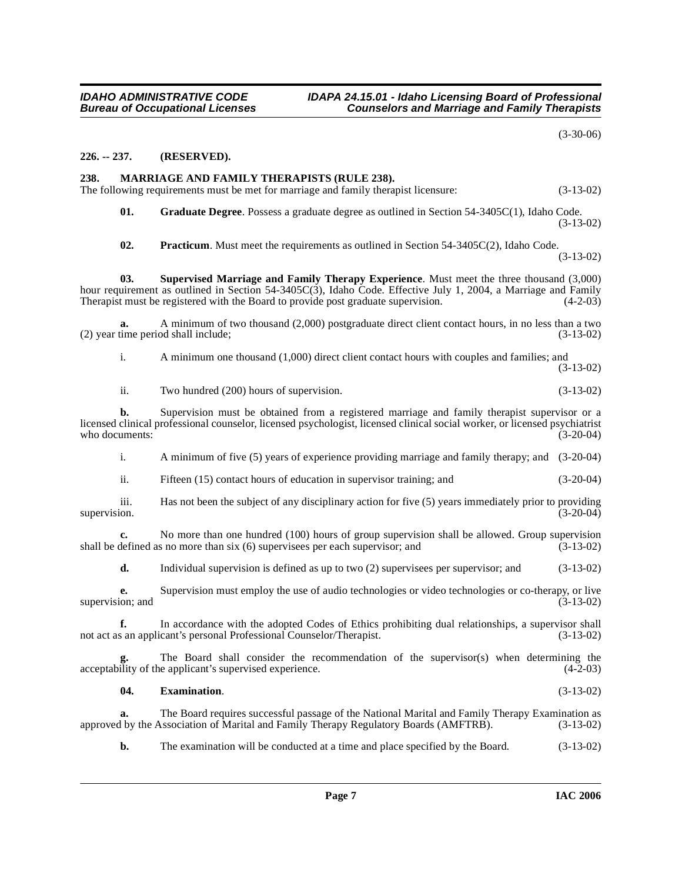(3-30-06)

# <span id="page-6-0"></span>**226. -- 237. (RESERVED).**

# <span id="page-6-4"></span><span id="page-6-1"></span>**238. MARRIAGE AND FAMILY THERAPISTS (RULE 238).**

The following requirements must be met for marriage and family therapist licensure: (3-13-02)

<span id="page-6-3"></span>**01. Graduate Degree**. Possess a graduate degree as outlined in Section 54-3405C(1), Idaho Code. (3-13-02)

<span id="page-6-6"></span><span id="page-6-5"></span>**02. Practicum**. Must meet the requirements as outlined in Section 54-3405C(2), Idaho Code. (3-13-02)

**03. Supervised Marriage and Family Therapy Experience**. Must meet the three thousand (3,000) hour requirement as outlined in Section 54-3405C(3), Idaho Code. Effective July 1, 2004, a Marriage and Family Therapist must be registered with the Board to provide post graduate supervision.  $(4-2-03)$ 

**a.** A minimum of two thousand (2,000) postgraduate direct client contact hours, in no less than a two (2) year time period shall include; (3-13-02)

i. A minimum one thousand (1,000) direct client contact hours with couples and families; and (3-13-02)

ii. Two hundred (200) hours of supervision. (3-13-02)

**b.** Supervision must be obtained from a registered marriage and family therapist supervisor or a licensed clinical professional counselor, licensed psychologist, licensed clinical social worker, or licensed psychiatrist who documents:

i. A minimum of five (5) years of experience providing marriage and family therapy; and (3-20-04)

ii. Fifteen (15) contact hours of education in supervisor training; and (3-20-04)

iii. Has not been the subject of any disciplinary action for five (5) years immediately prior to providing supervision. (3-20-04) supervision. (3-20-04)

**c.** No more than one hundred (100) hours of group supervision shall be allowed. Group supervision shall be defined as no more than six (6) supervisees per each supervisor; and  $(3-13-02)$ 

**d.** Individual supervision is defined as up to two (2) supervisees per supervisor; and (3-13-02)

**e.** Supervision must employ the use of audio technologies or video technologies or co-therapy, or live supervision; and  $(3-13-02)$ 

**f.** In accordance with the adopted Codes of Ethics prohibiting dual relationships, a supervisor shall s an applicant's personal Professional Counselor/Therapist. (3-13-02) not act as an applicant's personal Professional Counselor/Therapist.

The Board shall consider the recommendation of the supervisor(s) when determining the  $\alpha$  acceptability of the applicant's supervised experience. (4-2-03)

### <span id="page-6-2"></span>**04. Examination**. (3-13-02)

**a.** The Board requires successful passage of the National Marital and Family Therapy Examination as approved by the Association of Marital and Family Therapy Regulatory Boards (AMFTRB). (3-13-02)

**b.** The examination will be conducted at a time and place specified by the Board. (3-13-02)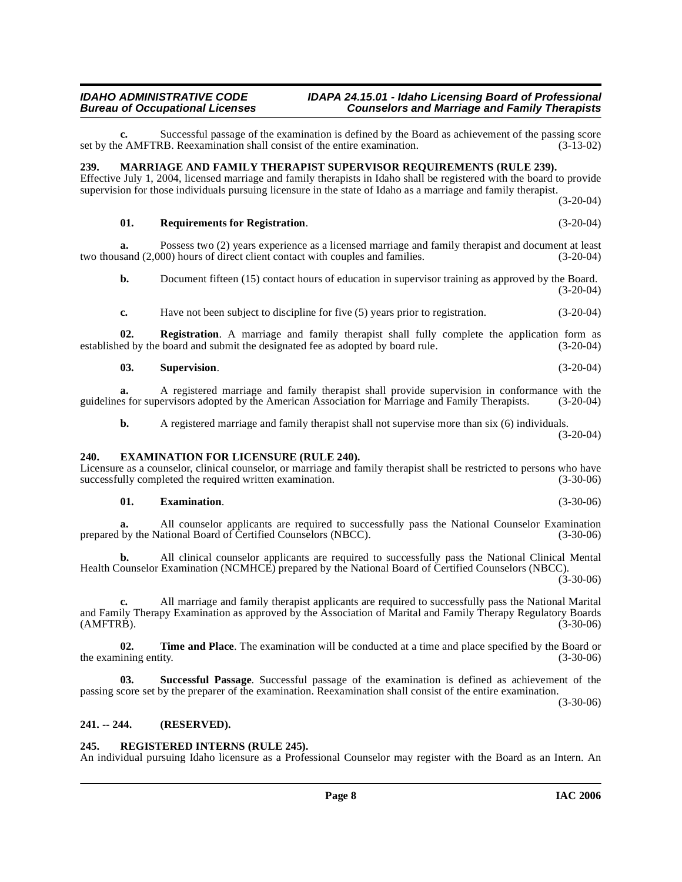### **IDAHO ADMINISTRATIVE CODE IDAPA 24.15.01 - Idaho Licensing Board of Professional Counselors and Marriage and Family Therapists**

Successful passage of the examination is defined by the Board as achievement of the passing score<br>(3-13-02) (3-13-02) Reexamination shall consist of the entire examination. set by the AMFTRB. Reexamination shall consist of the entire examination.

#### <span id="page-7-6"></span><span id="page-7-0"></span>**239. MARRIAGE AND FAMILY THERAPIST SUPERVISOR REQUIREMENTS (RULE 239).**

Effective July 1, 2004, licensed marriage and family therapists in Idaho shall be registered with the board to provide supervision for those individuals pursuing licensure in the state of Idaho as a marriage and family therapist. (3-20-04)

#### **01. Requirements for Registration**. (3-20-04)

**a.** Possess two (2) years experience as a licensed marriage and family therapist and document at least sand (2,000) hours of direct client contact with couples and families. (3-20-04) two thousand (2,000) hours of direct client contact with couples and families.

**b.** Document fifteen (15) contact hours of education in supervisor training as approved by the Board.  $(3-20-04)$ 

**c.** Have not been subject to discipline for five (5) years prior to registration.  $(3-20-04)$ 

**02. Registration**. A marriage and family therapist shall fully complete the application form as established by the board and submit the designated fee as adopted by board rule. (3-20-04)

#### **03. Supervision**. (3-20-04)

**a.** A registered marriage and family therapist shall provide supervision in conformance with the guidelines for supervisors adopted by the American Association for Marriage and Family Therapists. (3-20-04)

<span id="page-7-4"></span>**b.** A registered marriage and family therapist shall not supervise more than six (6) individuals. (3-20-04)

#### <span id="page-7-1"></span>**240. EXAMINATION FOR LICENSURE (RULE 240).**

Licensure as a counselor, clinical counselor, or marriage and family therapist shall be restricted to persons who have successfully completed the required written examination. (3-30-06) successfully completed the required written examination.

#### <span id="page-7-5"></span>**01. Examination**. (3-30-06)

**a.** All counselor applicants are required to successfully pass the National Counselor Examination prepared by the National Board of Certified Counselors (NBCC). (3-30-06)

**b.** All clinical counselor applicants are required to successfully pass the National Clinical Mental Health Counselor Examination (NCMHCE) prepared by the National Board of Certified Counselors (NBCC). (3-30-06)

**c.** All marriage and family therapist applicants are required to successfully pass the National Marital and Family Therapy Examination as approved by the Association of Marital and Family Therapy Regulatory Boards<br>(3-30-06) (3-30-06) (AMFTRB). (3-30-06)

<span id="page-7-9"></span>**02. Time and Place**. The examination will be conducted at a time and place specified by the Board or the examining entity. (3-30-06) the examining entity.

<span id="page-7-8"></span>**03. Successful Passage**. Successful passage of the examination is defined as achievement of the passing score set by the preparer of the examination. Reexamination shall consist of the entire examination.

(3-30-06)

#### <span id="page-7-2"></span>**241. -- 244. (RESERVED).**

#### <span id="page-7-7"></span><span id="page-7-3"></span>**245. REGISTERED INTERNS (RULE 245).**

An individual pursuing Idaho licensure as a Professional Counselor may register with the Board as an Intern. An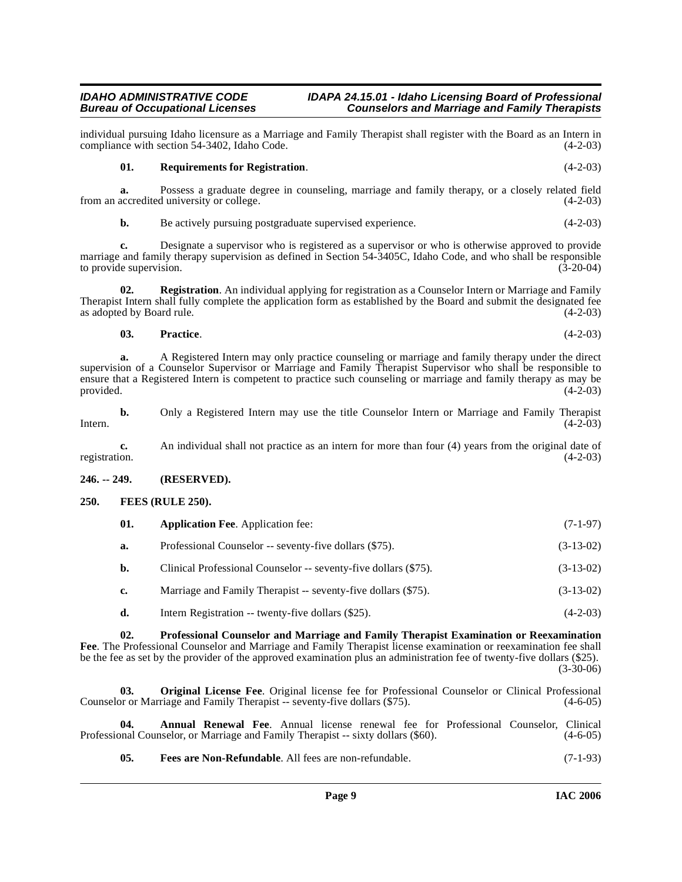#### **IDAHO ADMINISTRATIVE CODE IDAPA 24.15.01 - Idaho Licensing Board of Professional Counselors and Marriage and Family Therapists**

individual pursuing Idaho licensure as a Marriage and Family Therapist shall register with the Board as an Intern in compliance with section 54-3402, Idaho Code.

# <span id="page-8-8"></span>**01. Requirements for Registration**. (4-2-03)

**a.** Possess a graduate degree in counseling, marriage and family therapy, or a closely related field accredited university or college.  $(4-2-03)$ from an accredited university or college.

**b.** Be actively pursuing postgraduate supervised experience. (4-2-03)

**c.** Designate a supervisor who is registered as a supervisor or who is otherwise approved to provide marriage and family therapy supervision as defined in Section 54-3405C, Idaho Code, and who shall be responsible<br>to provide supervision. (3-20-04) to provide supervision.

**02. Registration**. An individual applying for registration as a Counselor Intern or Marriage and Family Therapist Intern shall fully complete the application form as established by the Board and submit the designated fee as adopted by Board rule.

# **03. Practice**. (4-2-03)

**a.** A Registered Intern may only practice counseling or marriage and family therapy under the direct supervision of a Counselor Supervisor or Marriage and Family Therapist Supervisor who shall be responsible to ensure that a Registered Intern is competent to practice such counseling or marriage and family therapy as may be provided. (4-2-03) provided.  $(4-2-03)$ 

**b.** Only a Registered Intern may use the title Counselor Intern or Marriage and Family Therapist (4-2-03)  $[4-2-03]$   $(4-2-03)$ 

**c.** An individual shall not practice as an intern for more than four (4) years from the original date of registration. (4-2-03) registration. (4-2-03)

#### <span id="page-8-0"></span>**246. -- 249. (RESERVED).**

# <span id="page-8-1"></span>**250. FEES (RULE 250).**

<span id="page-8-4"></span><span id="page-8-3"></span>

| - 01. | <b>Application Fee.</b> Application fee:               | $(7-1-97)$  |
|-------|--------------------------------------------------------|-------------|
|       | Professional Counselor -- seventy-five dollars (\$75). | $(3-13-02)$ |

**b.** Clinical Professional Counselor -- seventy-five dollars (\$75). (3-13-02)

- **c.** Marriage and Family Therapist -- seventy-five dollars (\$75). (3-13-02)
- <span id="page-8-7"></span>**d.** Intern Registration -- twenty-five dollars (\$25). (4-2-03)

**02. Professional Counselor and Marriage and Family Therapist Examination or Reexamination Fee**. The Professional Counselor and Marriage and Family Therapist license examination or reexamination fee shall be the fee as set by the provider of the approved examination plus an administration fee of twenty-five dollars (\$25). (3-30-06)

<span id="page-8-6"></span>**03. Original License Fee**. Original license fee for Professional Counselor or Clinical Professional Counselor or Marriage and Family Therapist -- seventy-five dollars (\$75). (4-6-05)

**04. Annual Renewal Fee**. Annual license renewal fee for Professional Counselor, Clinical phal Counselor, or Marriage and Family Therapist -- sixty dollars (\$60). (4-6-05) Professional Counselor, or Marriage and Family Therapist -- sixty dollars (\$60).

<span id="page-8-5"></span><span id="page-8-2"></span>**05. Fees are Non-Refundable**. All fees are non-refundable. (7-1-93)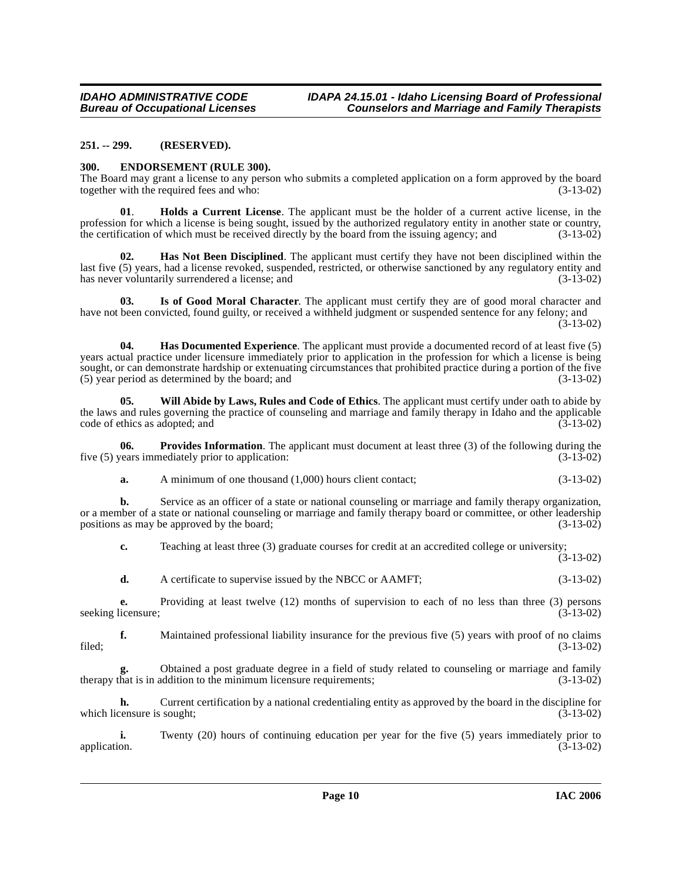### <span id="page-9-0"></span>**251. -- 299. (RESERVED).**

#### <span id="page-9-3"></span><span id="page-9-1"></span>**300. ENDORSEMENT (RULE 300).**

The Board may grant a license to any person who submits a completed application on a form approved by the board together with the required fees and who: (3-13-02)

<span id="page-9-6"></span>**01**. **Holds a Current License**. The applicant must be the holder of a current active license, in the profession for which a license is being sought, issued by the authorized regulatory entity in another state or country, the certification of which must be received directly by the board from the issuing agency; and (3-13-02)

<span id="page-9-5"></span>**02. Has Not Been Disciplined**. The applicant must certify they have not been disciplined within the last five (5) years, had a license revoked, suspended, restricted, or otherwise sanctioned by any regulatory entity and has never voluntarily surrendered a license; and  $(3-13-02)$ 

<span id="page-9-4"></span>**03. Is of Good Moral Character**. The applicant must certify they are of good moral character and have not been convicted, found guilty, or received a withheld judgment or suspended sentence for any felony; and (3-13-02)

**04. Has Documented Experience**. The applicant must provide a documented record of at least five (5) years actual practice under licensure immediately prior to application in the profession for which a license is being sought, or can demonstrate hardship or extenuating circumstances that prohibited practice during a portion of the five<br>(5) year period as determined by the board; and (3-13-02)  $(5)$  year period as determined by the board; and

<span id="page-9-2"></span>**05. Will Abide by Laws, Rules and Code of Ethics**. The applicant must certify under oath to abide by the laws and rules governing the practice of counseling and marriage and family therapy in Idaho and the applicable code of ethics as adopted; and (3-13-02) code of ethics as adopted; and

**06. Provides Information**. The applicant must document at least three (3) of the following during the vears immediately prior to application: (3-13-02) five  $(5)$  years immediately prior to application:

<span id="page-9-7"></span>**a.** A minimum of one thousand (1,000) hours client contact; (3-13-02)

**b.** Service as an officer of a state or national counseling or marriage and family therapy organization, or a member of a state or national counseling or marriage and family therapy board or committee, or other leadership positions as may be approved by the board;<br>(3-13-02) positions as may be approved by the board;

**c.** Teaching at least three (3) graduate courses for credit at an accredited college or university;

 $(3-13-02)$ 

**d.** A certificate to supervise issued by the NBCC or AAMFT; (3-13-02)

**e.** Providing at least twelve (12) months of supervision to each of no less than three (3) persons icensure; (3-13-02) seeking licensure;

**f.** Maintained professional liability insurance for the previous five (5) years with proof of no claims filed; (3-13-02)

**g.** Obtained a post graduate degree in a field of study related to counseling or marriage and family hat is in addition to the minimum licensure requirements; (3-13-02) therapy that is in addition to the minimum licensure requirements;

**h.** Current certification by a national credentialing entity as approved by the board in the discipline for which licensure is sought;  $(3-13-02)$ 

**i.** Twenty (20) hours of continuing education per year for the five (5) years immediately prior to application. (3-13-02) application. (3-13-02)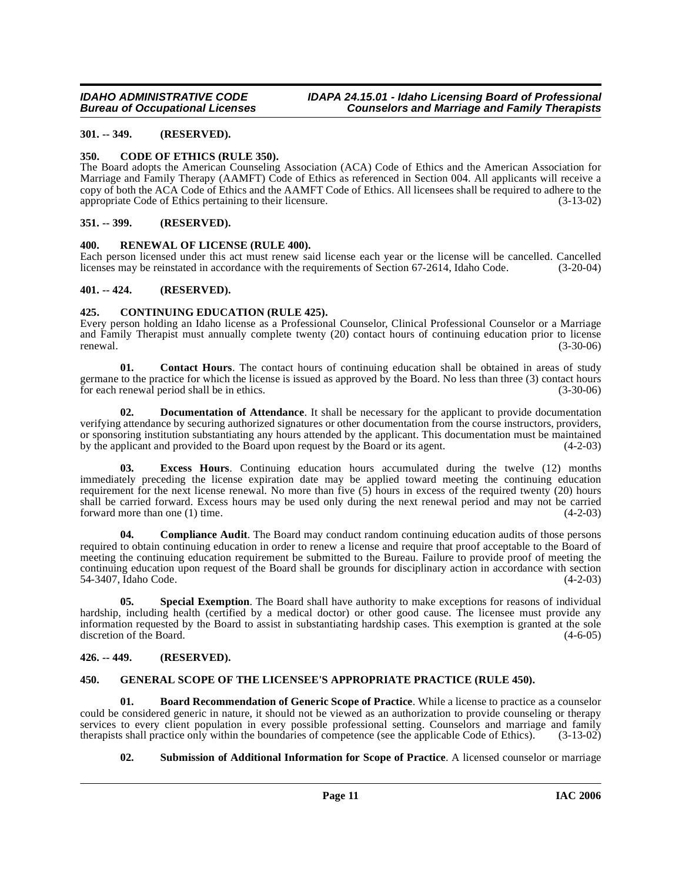# <span id="page-10-0"></span>**301. -- 349. (RESERVED).**

# <span id="page-10-9"></span><span id="page-10-1"></span>**350. CODE OF ETHICS (RULE 350).**

The Board adopts the American Counseling Association (ACA) Code of Ethics and the American Association for Marriage and Family Therapy (AAMFT) Code of Ethics as referenced in Section 004. All applicants will receive a copy of both the ACA Code of Ethics and the AAMFT Code of Ethics. All licensees shall be required to adhere to the appropriate Code of Ethics pertaining to their licensure. (3-13-02) appropriate Code of Ethics pertaining to their licensure.

# <span id="page-10-2"></span>**351. -- 399. (RESERVED).**

# <span id="page-10-13"></span><span id="page-10-3"></span>**400. RENEWAL OF LICENSE (RULE 400).**

Each person licensed under this act must renew said license each year or the license will be cancelled. Cancelled licenses may be reinstated in accordance with the requirements of Section 67-2614. Idaho Code. (3-20-04) licenses may be reinstated in accordance with the requirements of Section 67-2614, Idaho Code.

# <span id="page-10-4"></span>**401. -- 424. (RESERVED).**

# <span id="page-10-11"></span><span id="page-10-5"></span>**425. CONTINUING EDUCATION (RULE 425).**

Every person holding an Idaho license as a Professional Counselor, Clinical Professional Counselor or a Marriage and Family Therapist must annually complete twenty (20) contact hours of continuing education prior to license  $r = (3-30-06)$  (3-30-06)

<span id="page-10-10"></span>**01. Contact Hours**. The contact hours of continuing education shall be obtained in areas of study germane to the practice for which the license is issued as approved by the Board. No less than three (3) contact hours for each renewal period shall be in ethics. (3-30-06) for each renewal period shall be in ethics.

**02. Documentation of Attendance**. It shall be necessary for the applicant to provide documentation verifying attendance by securing authorized signatures or other documentation from the course instructors, providers, or sponsoring institution substantiating any hours attended by the applicant. This documentation must be maintained by the applicant and provided to the Board upon request by the Board or its agent. (4-2-03)

**Excess Hours.** Continuing education hours accumulated during the twelve (12) months immediately preceding the license expiration date may be applied toward meeting the continuing education requirement for the next license renewal. No more than five (5) hours in excess of the required twenty (20) hours shall be carried forward. Excess hours may be used only during the next renewal period and may not be carried forward more than one (1) time. forward more than one  $(1)$  time.

**04. Compliance Audit**. The Board may conduct random continuing education audits of those persons required to obtain continuing education in order to renew a license and require that proof acceptable to the Board of meeting the continuing education requirement be submitted to the Bureau. Failure to provide proof of meeting the continuing education upon request of the Board shall be grounds for disciplinary action in accordance with section 54-3407, Idaho Code. (4-2-03)

**05. Special Exemption**. The Board shall have authority to make exceptions for reasons of individual hardship, including health (certified by a medical doctor) or other good cause. The licensee must provide any information requested by the Board to assist in substantiating hardship cases. This exemption is granted at the sole discretion of the Board.

# <span id="page-10-6"></span>**426. -- 449. (RESERVED).**

# <span id="page-10-12"></span><span id="page-10-7"></span>**450. GENERAL SCOPE OF THE LICENSEE'S APPROPRIATE PRACTICE (RULE 450).**

**01. Board Recommendation of Generic Scope of Practice**. While a license to practice as a counselor could be considered generic in nature, it should not be viewed as an authorization to provide counseling or therapy services to every client population in every possible professional setting. Counselors and marriage and family<br>therapists shall practice only within the boundaries of competence (see the applicable Code of Ethics). (3-13-0 therapists shall practice only within the boundaries of competence (see the applicable Code of Ethics).

# <span id="page-10-14"></span><span id="page-10-8"></span>**02. Submission of Additional Information for Scope of Practice**. A licensed counselor or marriage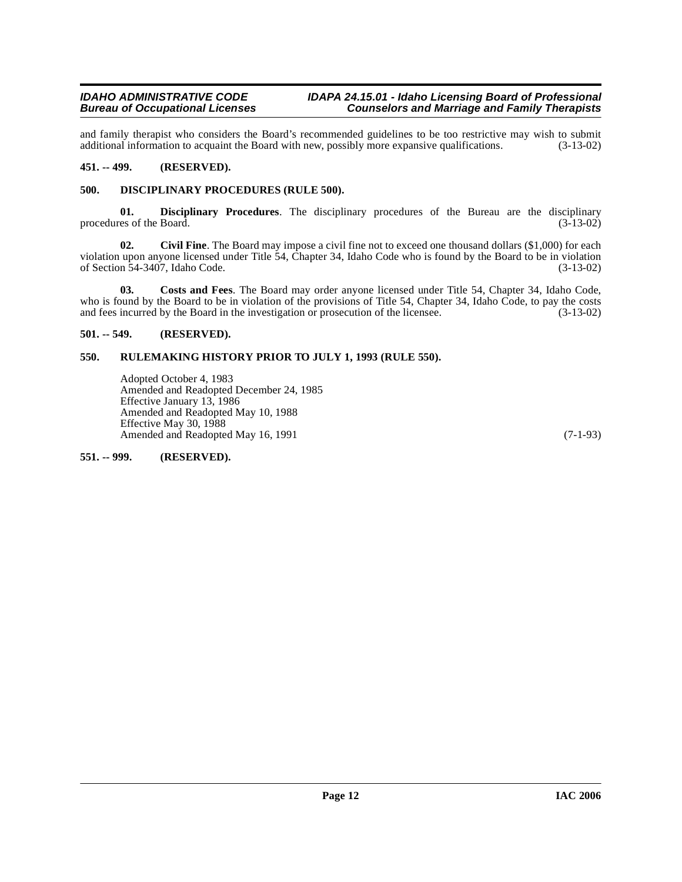and family therapist who considers the Board's recommended guidelines to be too restrictive may wish to submit additional information to acquaint the Board with new, possibly more expansive qualifications. (3-13-02) additional information to acquaint the Board with new, possibly more expansive qualifications.

# <span id="page-11-0"></span>**451. -- 499. (RESERVED).**

# <span id="page-11-7"></span><span id="page-11-1"></span>**500. DISCIPLINARY PROCEDURES (RULE 500).**

**01. Disciplinary Procedures**. The disciplinary procedures of the Bureau are the disciplinary es of the Board. (3-13-02) procedures of the Board.

<span id="page-11-5"></span>**02.** Civil Fine. The Board may impose a civil fine not to exceed one thousand dollars (\$1,000) for each violation upon anyone licensed under Title 54, Chapter 34, Idaho Code who is found by the Board to be in violation of Section 54-3407, Idaho Code. (3-13-02) of Section 54-3407, Idaho Code.

<span id="page-11-6"></span>**03. Costs and Fees**. The Board may order anyone licensed under Title 54, Chapter 34, Idaho Code, who is found by the Board to be in violation of the provisions of Title 54, Chapter 34, Idaho Code, to pay the costs and fees incurred by the Board in the investigation or prosecution of the licensee. (3-13-02) and fees incurred by the Board in the investigation or prosecution of the licensee.

# <span id="page-11-2"></span>**501. -- 549. (RESERVED).**

# <span id="page-11-3"></span>**550. RULEMAKING HISTORY PRIOR TO JULY 1, 1993 (RULE 550).**

Adopted October 4, 1983 Amended and Readopted December 24, 1985 Effective January 13, 1986 Amended and Readopted May 10, 1988 Effective May 30, 1988 Amended and Readopted May 16, 1991 (7-1-93)

<span id="page-11-4"></span>**551. -- 999. (RESERVED).**